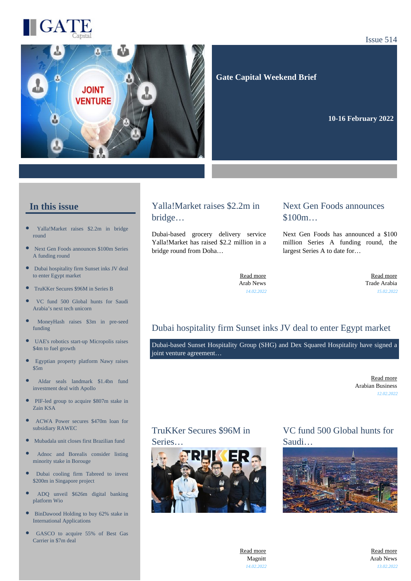

#### Issue 514



#### **Gate Capital Weekend Brief**

**10-16 February 2022** 

#### **In this issue**

- [Yalla!Market raises \\$2.2m in bridge](https://gatecapital.net/back_office/newsletters/tracking/5680/656) [round](https://gatecapital.net/back_office/newsletters/tracking/5680/656)
- [Next Gen Foods announces \\$100m Series](https://gatecapital.net/back_office/newsletters/tracking/5690/656) [A funding round](https://gatecapital.net/back_office/newsletters/tracking/5690/656)
- [Dubai hospitality firm Sunset inks JV deal](https://gatecapital.net/back_office/newsletters/tracking/5673/656) [to enter Egypt market](https://gatecapital.net/back_office/newsletters/tracking/5673/656)
- $\bullet$ [TruKKer Secures \\$96M in Series B](https://gatecapital.net/back_office/newsletters/tracking/5674/656)
- $\bullet$ [VC fund 500 Global hunts for Saudi](https://gatecapital.net/back_office/newsletters/tracking/5682/656) [Arabia's next tech unicorn](https://gatecapital.net/back_office/newsletters/tracking/5682/656)
- [MoneyHash raises \\$3m in pre-seed](https://gatecapital.net/back_office/newsletters/tracking/5679/656) [funding](https://gatecapital.net/back_office/newsletters/tracking/5679/656)
- [UAE's robotics start-up Micropolis raises](https://gatecapital.net/back_office/newsletters/tracking/5685/656) [\\$4m to fuel growth](https://gatecapital.net/back_office/newsletters/tracking/5685/656)
- $\bullet$ [Egyptian property platform Nawy raises](https://gatecapital.net/back_office/newsletters/tracking/5677/656) [\\$5m](https://gatecapital.net/back_office/newsletters/tracking/5677/656)
- × [Aldar seals landmark \\$1.4bn fund](https://gatecapital.net/back_office/newsletters/tracking/5675/656) [investment deal with Apollo](https://gatecapital.net/back_office/newsletters/tracking/5675/656)
- $\bullet$ [PIF-led group to acquire \\$807m stake in](https://gatecapital.net/back_office/newsletters/tracking/5686/656) [Zain KSA](https://gatecapital.net/back_office/newsletters/tracking/5686/656)
- [ACWA Power secures \\$470m loan for](https://gatecapital.net/back_office/newsletters/tracking/5678/656) [subsidiary RAWEC](https://gatecapital.net/back_office/newsletters/tracking/5678/656)
- $\bullet$ [Mubadala unit closes first Brazilian fund](https://gatecapital.net/back_office/newsletters/tracking/5681/656)
- [Adnoc and Borealis consider listing](https://gatecapital.net/back_office/newsletters/tracking/5683/656) [minority stake in Borouge](https://gatecapital.net/back_office/newsletters/tracking/5683/656)
- $\bullet$ [Dubai cooling firm Tabreed to invest](https://gatecapital.net/back_office/newsletters/tracking/5688/656) [\\$200m in Singapore project](https://gatecapital.net/back_office/newsletters/tracking/5688/656)
- $\bullet$ [ADQ unveil \\$626m digital banking](https://gatecapital.net/back_office/newsletters/tracking/5684/656) [platform Wio](https://gatecapital.net/back_office/newsletters/tracking/5684/656)
- $\bullet$ [BinDawood Holding to buy 62% stake in](https://gatecapital.net/back_office/newsletters/tracking/5692/656) [International Applications](https://gatecapital.net/back_office/newsletters/tracking/5692/656)
- [GASCO to acquire 55% of Best Gas](https://gatecapital.net/back_office/newsletters/tracking/5687/656) [Carrier in \\$7m deal](https://gatecapital.net/back_office/newsletters/tracking/5687/656)

#### Yalla!Market raises \$2.2m in bridge…

Dubai-based grocery delivery service Yalla!Market has raised \$2.2 million in a bridge round from Doha…

#### Next Gen Foods announces \$100m...

Next Gen Foods has announced a \$100 million Series A funding round, the largest Series A to date for…

[Read more](https://gatecapital.net/back_office/newsletters/tracking/5680/656) Arab News *14.02.2022*

[Read more](https://gatecapital.net/back_office/newsletters/tracking/5690/656) Trade Arabia *15.02.2022*

#### Dubai hospitality firm Sunset inks JV deal to enter Egypt market

Dubai-based Sunset Hospitality Group (SHG) and Dex Squared Hospitality have signed a joint venture agreement…

> [Read more](https://gatecapital.net/back_office/newsletters/tracking/5673/656) Arabian Business *12.02.2022*

# TruKKer Secures \$96M in

Series…



#### VC fund 500 Global hunts for Saudi…



[Read more](https://gatecapital.net/back_office/newsletters/tracking/5674/656) Magnitt *14.02.2022*

[Read more](https://gatecapital.net/back_office/newsletters/tracking/5682/656) Arab News *13.02.2022*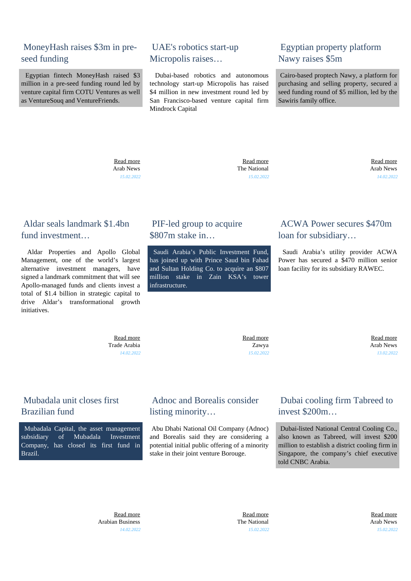#### MoneyHash raises \$3m in preseed funding

 Egyptian fintech MoneyHash raised \$3 million in a pre-seed funding round led by venture capital firm COTU Ventures as well as VentureSouq and VentureFriends.

#### UAE's robotics start-up Micropolis raises…

 Dubai-based robotics and autonomous technology start-up Micropolis has raised \$4 million in new investment round led by San Francisco-based venture capital firm Mindrock Capital

## Egyptian property platform Nawy raises \$5m

 Cairo-based proptech Nawy, a platform for purchasing and selling property, secured a seed funding round of \$5 million, led by the Sawiris family office.

 [Read more](https://gatecapital.net/back_office/newsletters/tracking/5679/656) Arab News *15.02.2022*

 [Read more](https://gatecapital.net/back_office/newsletters/tracking/5685/656) The National *15.02.2022*

 [Read more](https://gatecapital.net/back_office/newsletters/tracking/5677/656) Arab News *14.02.2022*

## Aldar seals landmark \$1.4bn fund investment

 Aldar Properties and Apollo Global Management, one of the world's largest alternative investment managers, have signed a landmark commitment that will see Apollo-managed funds and clients invest a total of \$1.4 billion in strategic capital to drive Aldar's transformational growth initiatives.

> [Read more](https://gatecapital.net/back_office/newsletters/tracking/5675/656) Trade Arabia *14.02.2022*

# PIF-led group to acquire \$807m stake in…

 Saudi Arabia's Public Investment Fund, has joined up with Prince Saud bin Fahad and Sultan Holding Co. to acquire an \$807 million stake in Zain KSA's tower infrastructure.

#### ACWA Power secures \$470m loan for subsidiary…

 Saudi Arabia's utility provider ACWA Power has secured a \$470 million senior loan facility for its subsidiary RAWEC.

 [Read more](https://gatecapital.net/back_office/newsletters/tracking/5686/656) Zawya *15.02.2022*

 [Read more](https://gatecapital.net/back_office/newsletters/tracking/5678/656) Arab News *13.02.2022*

# Mubadala unit closes first Brazilian fund

 Mubadala Capital, the asset management subsidiary of Mubadala Investment Company, has closed its first fund in Brazil.

## Adnoc and Borealis consider listing minority…

 Abu Dhabi National Oil Company (Adnoc) and Borealis said they are considering a potential initial public offering of a minority stake in their joint venture Borouge.

## Dubai cooling firm Tabreed to invest \$200m…

 Dubai-listed National Central Cooling Co., also known as Tabreed, will invest \$200 million to establish a district cooling firm in Singapore, the company's chief executive told CNBC Arabia.

 [Read more](https://gatecapital.net/back_office/newsletters/tracking/5681/656) Arabian Business *14.02.2022*

 [Read more](https://gatecapital.net/back_office/newsletters/tracking/5683/656) The National *15.02.2022*

 [Read more](https://gatecapital.net/back_office/newsletters/tracking/5688/656) Arab News *15.02.2022*